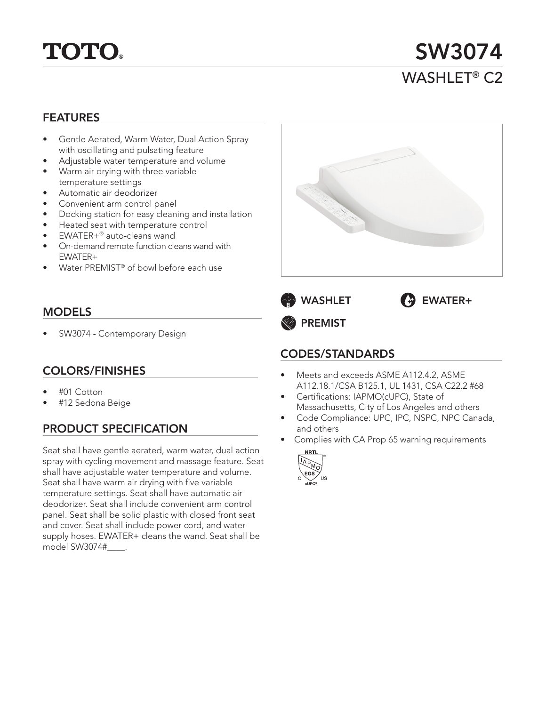

SW3074 WASHI FT<sup>®</sup> C<sub>2</sub>

### FEATURES

- Gentle Aerated, Warm Water, Dual Action Spray with oscillating and pulsating feature
- Adjustable water temperature and volume
- Warm air drying with three variable
- temperature settings
- Automatic air deodorizer
- Convenient arm control panel
- Docking station for easy cleaning and installation
- Heated seat with temperature control
- EWATER+® auto-cleans wand
- On-demand remote function cleans wand with EWATER+
- Water PREMIST® of bowl before each use

### MODELS

• SW3074 - Contemporary Design

### COLORS/FINISHES

- #01 Cotton
- #12 Sedona Beige

# PRODUCT SPECIFICATION

Seat shall have gentle aerated, warm water, dual action spray with cycling movement and massage feature. Seat shall have adjustable water temperature and volume. Seat shall have warm air drying with five variable temperature settings. Seat shall have automatic air deodorizer. Seat shall include convenient arm control panel. Seat shall be solid plastic with closed front seat and cover. Seat shall include power cord, and water supply hoses. EWATER+ cleans the wand. Seat shall be model SW3074#\_\_\_\_.





PREMIST

## CODES/STANDARDS

- Meets and exceeds ASME A112.4.2, ASME A112.18.1/CSA B125.1, UL 1431, CSA C22.2 #68
- Certifications: IAPMO(cUPC), State of Massachusetts, City of Los Angeles and others
- Code Compliance: UPC, IPC, NSPC, NPC Canada, and others
- Complies with CA Prop 65 warning requirements